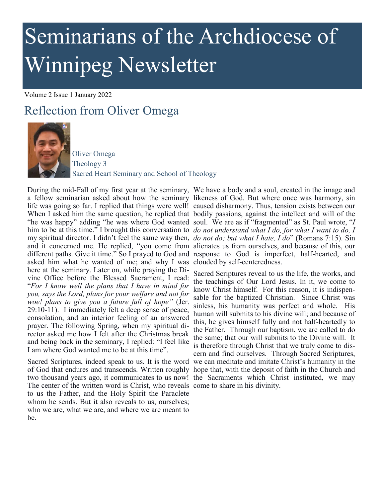# Seminarians of the Archdiocese of Winnipeg Newsletter

Volume 2 Issue 1 January 2022

## Reflection from Oliver Omega



Oliver Omega Theology 3 Sacred Heart Seminary and School of Theology

a fellow seminarian asked about how the seminary likeness of God. But where once was harmony, sin life was going so far. I replied that things were well! caused disharmony. Thus, tension exists between our When I asked him the same question, he replied that bodily passions, against the intellect and will of the "he was happy" adding "he was where God wanted soul. We are as if "fragmented" as St. Paul wrote, "*I*  him to be at this time." I brought this conversation to *do not understand what I do, for what I want to do, I*  my spiritual director. I didn't feel the same way then, *do not do; but what I hate, I do*" (Romans 7:15). Sin and it concerned me. He replied, "you come from alienates us from ourselves, and because of this, our different paths. Give it time." So I prayed to God and response to God is imperfect, half-hearted, and asked him what he wanted of me; and why I was clouded by self-centeredness. here at the seminary. Later on, while praying the Divine Office before the Blessed Sacrament, I read: "*For I know well the plans that I have in mind for you, says the Lord, plans for your welfare and not for woe! plans to give you a future full of hope"* (Jer. 29:10-11). I immediately felt a deep sense of peace, consolation, and an interior feeling of an answered prayer. The following Spring, when my spiritual director asked me how I felt after the Christmas break and being back in the seminary, I replied: "I feel like I am where God wanted me to be at this time".

of God that endures and transcends. Written roughly hope that, with the deposit of faith in the Church and two thousand years ago, it communicates to us now! the Sacraments which Christ instituted, we may The center of the written word is Christ, who reveals come to share in his divinity. to us the Father, and the Holy Spirit the Paraclete whom he sends. But it also reveals to us, ourselves; who we are, what we are, and where we are meant to be.

During the mid-Fall of my first year at the seminary, We have a body and a soul, created in the image and

Sacred Scriptures, indeed speak to us. It is the word we can meditate and imitate Christ's humanity in the Sacred Scriptures reveal to us the life, the works, and the teachings of Our Lord Jesus. In it, we come to know Christ himself. For this reason, it is indispensable for the baptized Christian. Since Christ was sinless, his humanity was perfect and whole. His human will submits to his divine will; and because of this, he gives himself fully and not half-heartedly to the Father. Through our baptism, we are called to do the same; that our will submits to the Divine will. It is therefore through Christ that we truly come to discern and find ourselves. Through Sacred Scriptures,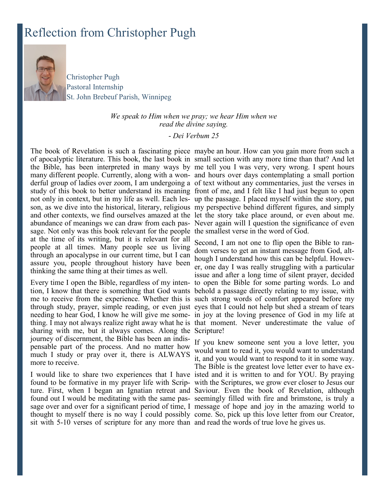## Reflection from Christopher Pugh



Christopher Pugh Pastoral Internship St. John Brebeuf Parish, Winnipeg

#### *We speak to Him when we pray; we hear Him when we read the divine saying.*

#### - *Dei Verbum 25*

sage. Not only was this book relevant for the people the smallest verse in the word of God. at the time of its writing, but it is relevant for all people at all times. Many people see us living through an apocalypse in our current time, but I can assure you, people throughout history have been thinking the same thing at their times as well.

sharing with me, but it always comes. Along the Scripture! journey of discernment, the Bible has been an indispensable part of the process. And no matter how much I study or pray over it, there is ALWAYS more to receive.

found to be formative in my prayer life with Scrip-with the Scriptures, we grow ever closer to Jesus our ture. First, when I began an Ignatian retreat and Saviour. Even the book of Revelation, although found out I would be meditating with the same pas-seemingly filled with fire and brimstone, is truly a sage over and over for a significant period of time, I message of hope and joy in the amazing world to thought to myself there is no way I could possibly come. So, pick up this love letter from our Creator, sit with 5-10 verses of scripture for any more than and read the words of true love he gives us.

The book of Revelation is such a fascinating piece maybe an hour. How can you gain more from such a of apocalyptic literature. This book, the last book in small section with any more time than that? And let the Bible, has been interpreted in many ways by me tell you I was very, very wrong. I spent hours many different people. Currently, along with a won-and hours over days contemplating a small portion derful group of ladies over zoom, I am undergoing a of text without any commentaries, just the verses in study of this book to better understand its meaning front of me, and I felt like I had just begun to open not only in context, but in my life as well. Each les-up the passage. I placed myself within the story, put son, as we dive into the historical, literary, religious my perspective behind different figures, and simply and other contexts, we find ourselves amazed at the let the story take place around, or even about me. abundance of meanings we can draw from each pas-Never again will I question the significance of even

Every time I open the Bible, regardless of my inten-to open the Bible for some parting words. Lo and tion, I know that there is something that God wants behold a passage directly relating to my issue, with me to receive from the experience. Whether this is such strong words of comfort appeared before my through study, prayer, simple reading, or even just eyes that I could not help but shed a stream of tears needing to hear God, I know he will give me some-in joy at the loving presence of God in my life at thing. I may not always realize right away what he is that moment. Never underestimate the value of Second, I am not one to flip open the Bible to random verses to get an instant message from God, although I understand how this can be helpful. However, one day I was really struggling with a particular issue and after a long time of silent prayer, decided

I would like to share two experiences that I have isted and it is written to and for YOU. By praying If you knew someone sent you a love letter, you would want to read it, you would want to understand it, and you would want to respond to it in some way. The Bible is the greatest love letter ever to have ex-